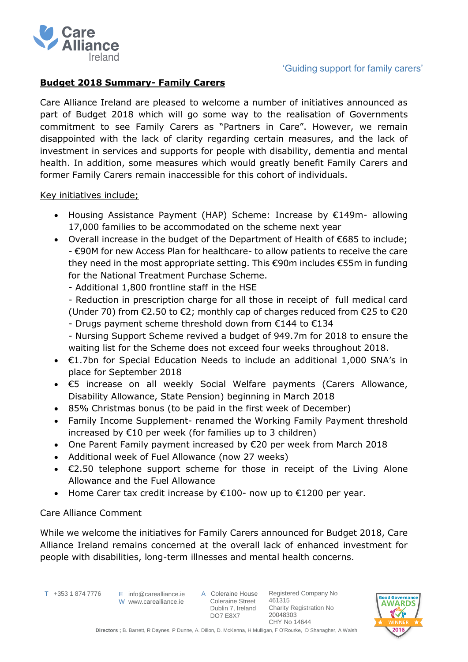

# 'Guiding support for family carers'

### **Budget 2018 Summary- Family Carers**

Care Alliance Ireland are pleased to welcome a number of initiatives announced as part of Budget 2018 which will go some way to the realisation of Governments commitment to see Family Carers as "Partners in Care". However, we remain disappointed with the lack of clarity regarding certain measures, and the lack of investment in services and supports for people with disability, dementia and mental health. In addition, some measures which would greatly benefit Family Carers and former Family Carers remain inaccessible for this cohort of individuals.

#### Key initiatives include;

- Housing Assistance Payment (HAP) Scheme: Increase by €149m- allowing 17,000 families to be accommodated on the scheme next year
- Overall increase in the budget of the Department of Health of €685 to include; - €90M for new Access Plan for healthcare- to allow patients to receive the care they need in the most appropriate setting. This €90m includes €55m in funding for the National Treatment Purchase Scheme.
	- Additional 1,800 frontline staff in the HSE
	- Reduction in prescription charge for all those in receipt of full medical card (Under 70) from  $\epsilon$ 2.50 to  $\epsilon$ 2; monthly cap of charges reduced from  $\epsilon$ 25 to  $\epsilon$ 20
	- Drugs payment scheme threshold down from €144 to €134
	- Nursing Support Scheme revived a budget of 949.7m for 2018 to ensure the waiting list for the Scheme does not exceed four weeks throughout 2018.
- €1.7bn for Special Education Needs to include an additional 1,000 SNA's in place for September 2018
- €5 increase on all weekly Social Welfare payments (Carers Allowance, Disability Allowance, State Pension) beginning in March 2018
- 85% Christmas bonus (to be paid in the first week of December)
- Family Income Supplement- renamed the Working Family Payment threshold increased by €10 per week (for families up to 3 children)
- One Parent Family payment increased by €20 per week from March 2018
- Additional week of Fuel Allowance (now 27 weeks)
- €2.50 telephone support scheme for those in receipt of the Living Alone Allowance and the Fuel Allowance
- Home Carer tax credit increase by €100- now up to €1200 per year.

# Care Alliance Comment

While we welcome the initiatives for Family Carers announced for Budget 2018, Care Alliance Ireland remains concerned at the overall lack of enhanced investment for people with disabilities, long-term illnesses and mental health concerns.

T +353 1 874 7776

 $E$  info@carealliance.ie W www.carealliance.ie

A Coleraine House Coleraine Street Dublin 7, Ireland DO7 E8X7

Registered Company No 461315 Charity Registration No 20048303 CHY No 14644